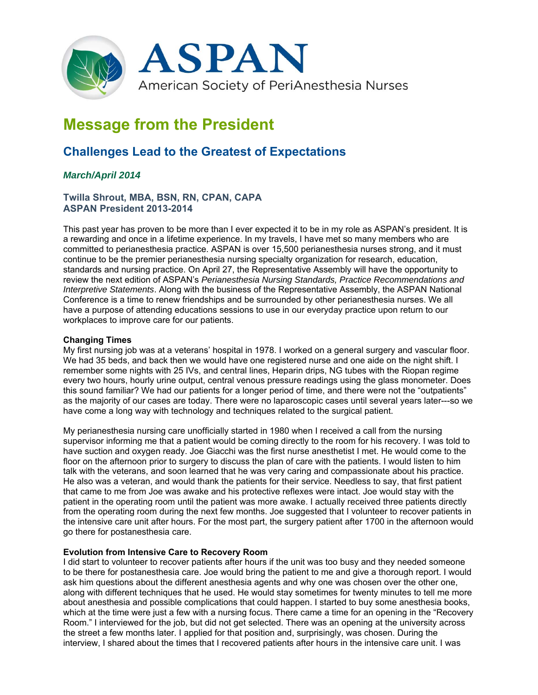

# **Message from the President**

## **Challenges Lead to the Greatest of Expectations**

### *March/April 2014*

#### **Twilla Shrout, MBA, BSN, RN, CPAN, CAPA ASPAN President 2013-2014**

This past year has proven to be more than I ever expected it to be in my role as ASPAN's president. It is a rewarding and once in a lifetime experience. In my travels, I have met so many members who are committed to perianesthesia practice. ASPAN is over 15,500 perianesthesia nurses strong, and it must continue to be the premier perianesthesia nursing specialty organization for research, education, standards and nursing practice. On April 27, the Representative Assembly will have the opportunity to review the next edition of ASPAN's *Perianesthesia Nursing Standards, Practice Recommendations and Interpretive Statements*. Along with the business of the Representative Assembly, the ASPAN National Conference is a time to renew friendships and be surrounded by other perianesthesia nurses. We all have a purpose of attending educations sessions to use in our everyday practice upon return to our workplaces to improve care for our patients.

#### **Changing Times**

My first nursing job was at a veterans' hospital in 1978. I worked on a general surgery and vascular floor. We had 35 beds, and back then we would have one registered nurse and one aide on the night shift. I remember some nights with 25 IVs, and central lines, Heparin drips, NG tubes with the Riopan regime every two hours, hourly urine output, central venous pressure readings using the glass monometer. Does this sound familiar? We had our patients for a longer period of time, and there were not the "outpatients" as the majority of our cases are today. There were no laparoscopic cases until several years later---so we have come a long way with technology and techniques related to the surgical patient.

My perianesthesia nursing care unofficially started in 1980 when I received a call from the nursing supervisor informing me that a patient would be coming directly to the room for his recovery. I was told to have suction and oxygen ready. Joe Giacchi was the first nurse anesthetist I met. He would come to the floor on the afternoon prior to surgery to discuss the plan of care with the patients. I would listen to him talk with the veterans, and soon learned that he was very caring and compassionate about his practice. He also was a veteran, and would thank the patients for their service. Needless to say, that first patient that came to me from Joe was awake and his protective reflexes were intact. Joe would stay with the patient in the operating room until the patient was more awake. I actually received three patients directly from the operating room during the next few months. Joe suggested that I volunteer to recover patients in the intensive care unit after hours. For the most part, the surgery patient after 1700 in the afternoon would go there for postanesthesia care.

#### **Evolution from Intensive Care to Recovery Room**

I did start to volunteer to recover patients after hours if the unit was too busy and they needed someone to be there for postanesthesia care. Joe would bring the patient to me and give a thorough report. I would ask him questions about the different anesthesia agents and why one was chosen over the other one, along with different techniques that he used. He would stay sometimes for twenty minutes to tell me more about anesthesia and possible complications that could happen. I started to buy some anesthesia books, which at the time were just a few with a nursing focus. There came a time for an opening in the "Recovery Room." I interviewed for the job, but did not get selected. There was an opening at the university across the street a few months later. I applied for that position and, surprisingly, was chosen. During the interview, I shared about the times that I recovered patients after hours in the intensive care unit. I was